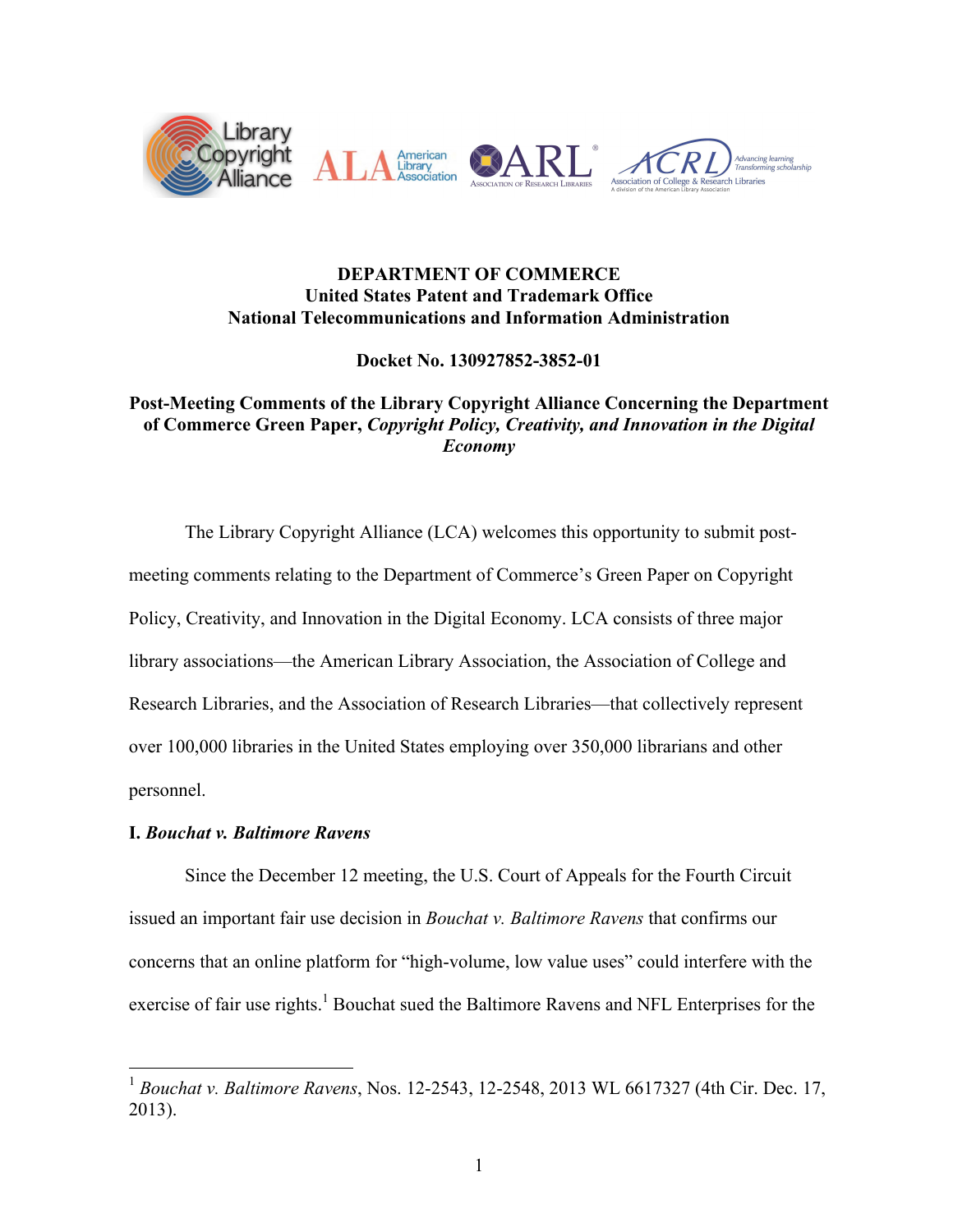

# **DEPARTMENT OF COMMERCE United States Patent and Trademark Office National Telecommunications and Information Administration**

**Docket No. 130927852-3852-01**

# **Post-Meeting Comments of the Library Copyright Alliance Concerning the Department of Commerce Green Paper,** *Copyright Policy, Creativity, and Innovation in the Digital Economy*

The Library Copyright Alliance (LCA) welcomes this opportunity to submit postmeeting comments relating to the Department of Commerce's Green Paper on Copyright Policy, Creativity, and Innovation in the Digital Economy. LCA consists of three major library associations—the American Library Association, the Association of College and Research Libraries, and the Association of Research Libraries—that collectively represent over 100,000 libraries in the United States employing over 350,000 librarians and other personnel.

# **I.** *Bouchat v. Baltimore Ravens*

Since the December 12 meeting, the U.S. Court of Appeals for the Fourth Circuit issued an important fair use decision in *Bouchat v. Baltimore Ravens* that confirms our concerns that an online platform for "high-volume, low value uses" could interfere with the exercise of fair use rights.<sup>1</sup> Bouchat sued the Baltimore Ravens and NFL Enterprises for the

 <sup>1</sup> *Bouchat v. Baltimore Ravens*, Nos. 12-2543, 12-2548, 2013 WL 6617327 (4th Cir. Dec. 17, 2013).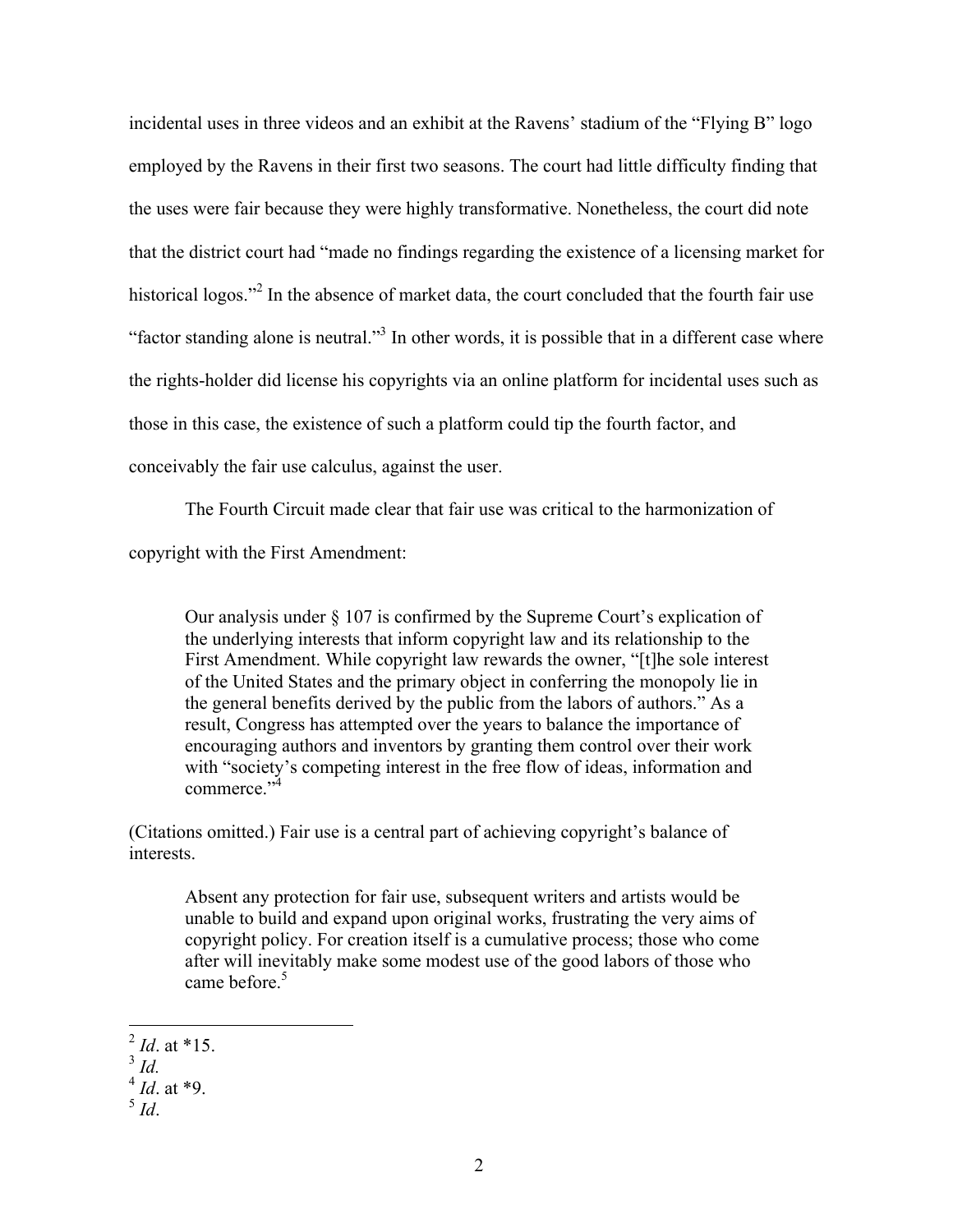incidental uses in three videos and an exhibit at the Ravens' stadium of the "Flying B" logo employed by the Ravens in their first two seasons. The court had little difficulty finding that the uses were fair because they were highly transformative. Nonetheless, the court did note that the district court had "made no findings regarding the existence of a licensing market for historical logos."<sup>2</sup> In the absence of market data, the court concluded that the fourth fair use "factor standing alone is neutral."<sup>3</sup> In other words, it is possible that in a different case where the rights-holder did license his copyrights via an online platform for incidental uses such as those in this case, the existence of such a platform could tip the fourth factor, and conceivably the fair use calculus, against the user.

The Fourth Circuit made clear that fair use was critical to the harmonization of copyright with the First Amendment:

Our analysis under § 107 is confirmed by the Supreme Court's explication of the underlying interests that inform copyright law and its relationship to the First Amendment. While copyright law rewards the owner, "[t]he sole interest of the United States and the primary object in conferring the monopoly lie in the general benefits derived by the public from the labors of authors." As a result, Congress has attempted over the years to balance the importance of encouraging authors and inventors by granting them control over their work with "society's competing interest in the free flow of ideas, information and commerce<sup>"4</sup>

(Citations omitted.) Fair use is a central part of achieving copyright's balance of interests.

Absent any protection for fair use, subsequent writers and artists would be unable to build and expand upon original works, frustrating the very aims of copyright policy. For creation itself is a cumulative process; those who come after will inevitably make some modest use of the good labors of those who came before.<sup>5</sup>

 $^{2}$  *Id.* at \*15.

<sup>3</sup> *Id.*

<sup>4</sup> *Id*. at \*9.

<sup>5</sup> *Id*.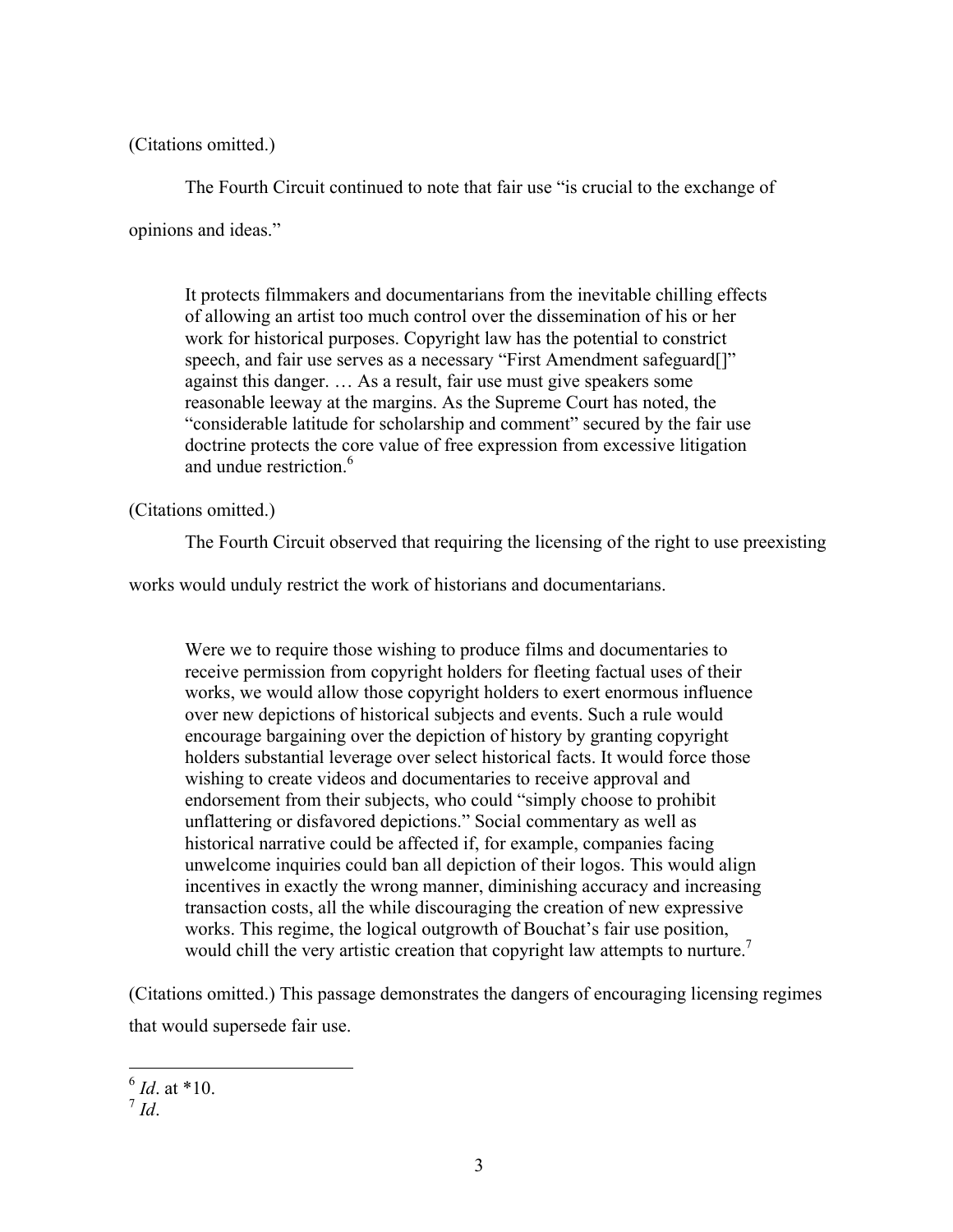(Citations omitted.)

The Fourth Circuit continued to note that fair use "is crucial to the exchange of

opinions and ideas."

It protects filmmakers and documentarians from the inevitable chilling effects of allowing an artist too much control over the dissemination of his or her work for historical purposes. Copyright law has the potential to constrict speech, and fair use serves as a necessary "First Amendment safeguard<sup>[]"</sup> against this danger. … As a result, fair use must give speakers some reasonable leeway at the margins. As the Supreme Court has noted, the "considerable latitude for scholarship and comment" secured by the fair use doctrine protects the core value of free expression from excessive litigation and undue restriction.<sup>6</sup>

(Citations omitted.)

The Fourth Circuit observed that requiring the licensing of the right to use preexisting

works would unduly restrict the work of historians and documentarians.

Were we to require those wishing to produce films and documentaries to receive permission from copyright holders for fleeting factual uses of their works, we would allow those copyright holders to exert enormous influence over new depictions of historical subjects and events. Such a rule would encourage bargaining over the depiction of history by granting copyright holders substantial leverage over select historical facts. It would force those wishing to create videos and documentaries to receive approval and endorsement from their subjects, who could "simply choose to prohibit unflattering or disfavored depictions." Social commentary as well as historical narrative could be affected if, for example, companies facing unwelcome inquiries could ban all depiction of their logos. This would align incentives in exactly the wrong manner, diminishing accuracy and increasing transaction costs, all the while discouraging the creation of new expressive works. This regime, the logical outgrowth of Bouchat's fair use position, would chill the very artistic creation that copyright law attempts to nurture.<sup>7</sup>

(Citations omitted.) This passage demonstrates the dangers of encouraging licensing regimes that would supersede fair use.

 $^{6}$  *Id*. at \*10.

<sup>7</sup> *Id*.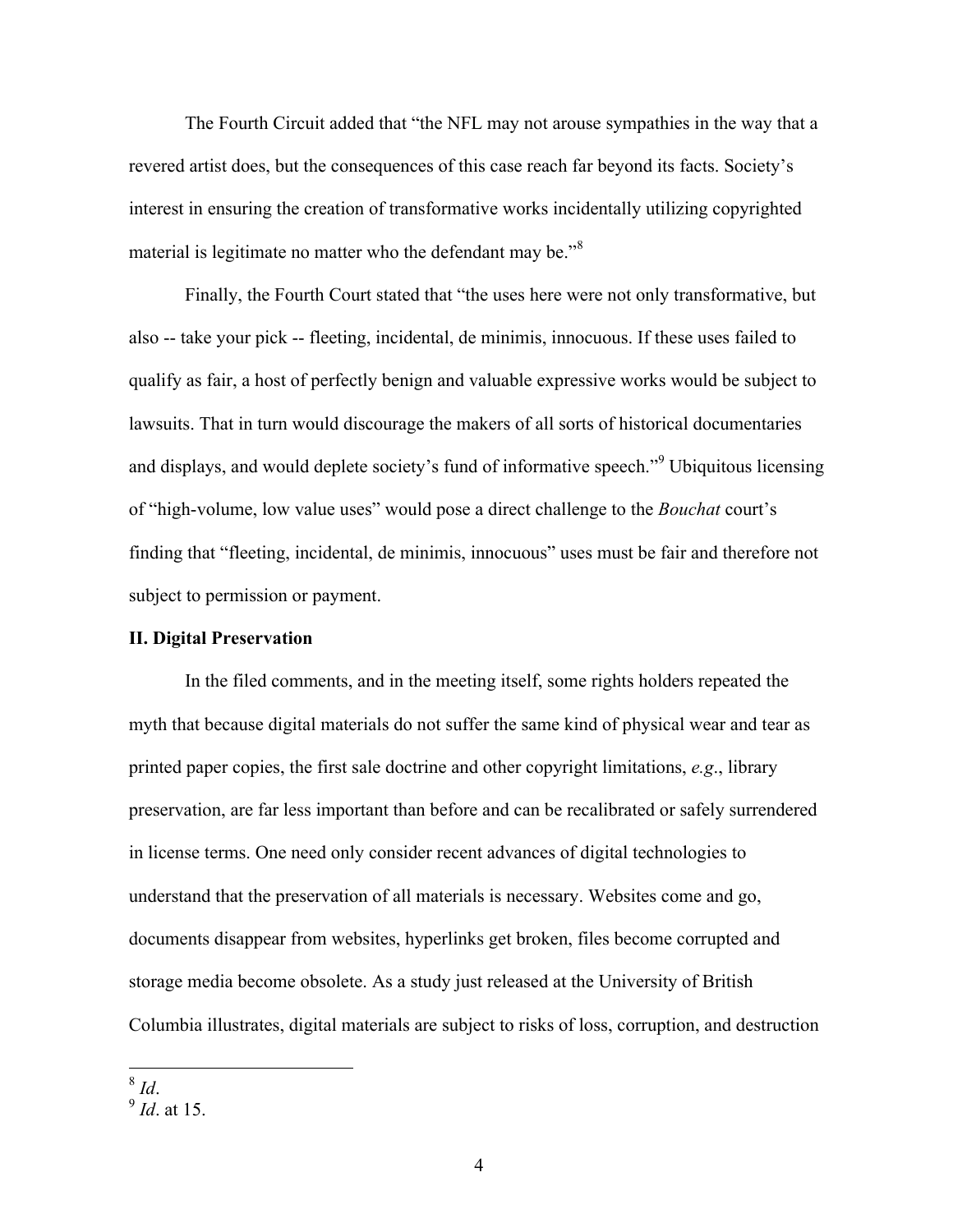The Fourth Circuit added that "the NFL may not arouse sympathies in the way that a revered artist does, but the consequences of this case reach far beyond its facts. Society's interest in ensuring the creation of transformative works incidentally utilizing copyrighted material is legitimate no matter who the defendant may be.<sup>"8</sup>

Finally, the Fourth Court stated that "the uses here were not only transformative, but also -- take your pick -- fleeting, incidental, de minimis, innocuous. If these uses failed to qualify as fair, a host of perfectly benign and valuable expressive works would be subject to lawsuits. That in turn would discourage the makers of all sorts of historical documentaries and displays, and would deplete society's fund of informative speech."<sup>9</sup> Ubiquitous licensing of "high-volume, low value uses" would pose a direct challenge to the *Bouchat* court's finding that "fleeting, incidental, de minimis, innocuous" uses must be fair and therefore not subject to permission or payment.

#### **II. Digital Preservation**

In the filed comments, and in the meeting itself, some rights holders repeated the myth that because digital materials do not suffer the same kind of physical wear and tear as printed paper copies, the first sale doctrine and other copyright limitations, *e.g*., library preservation, are far less important than before and can be recalibrated or safely surrendered in license terms. One need only consider recent advances of digital technologies to understand that the preservation of all materials is necessary. Websites come and go, documents disappear from websites, hyperlinks get broken, files become corrupted and storage media become obsolete. As a study just released at the University of British Columbia illustrates, digital materials are subject to risks of loss, corruption, and destruction

 $\frac{8}{9}$  *Id.* at 15.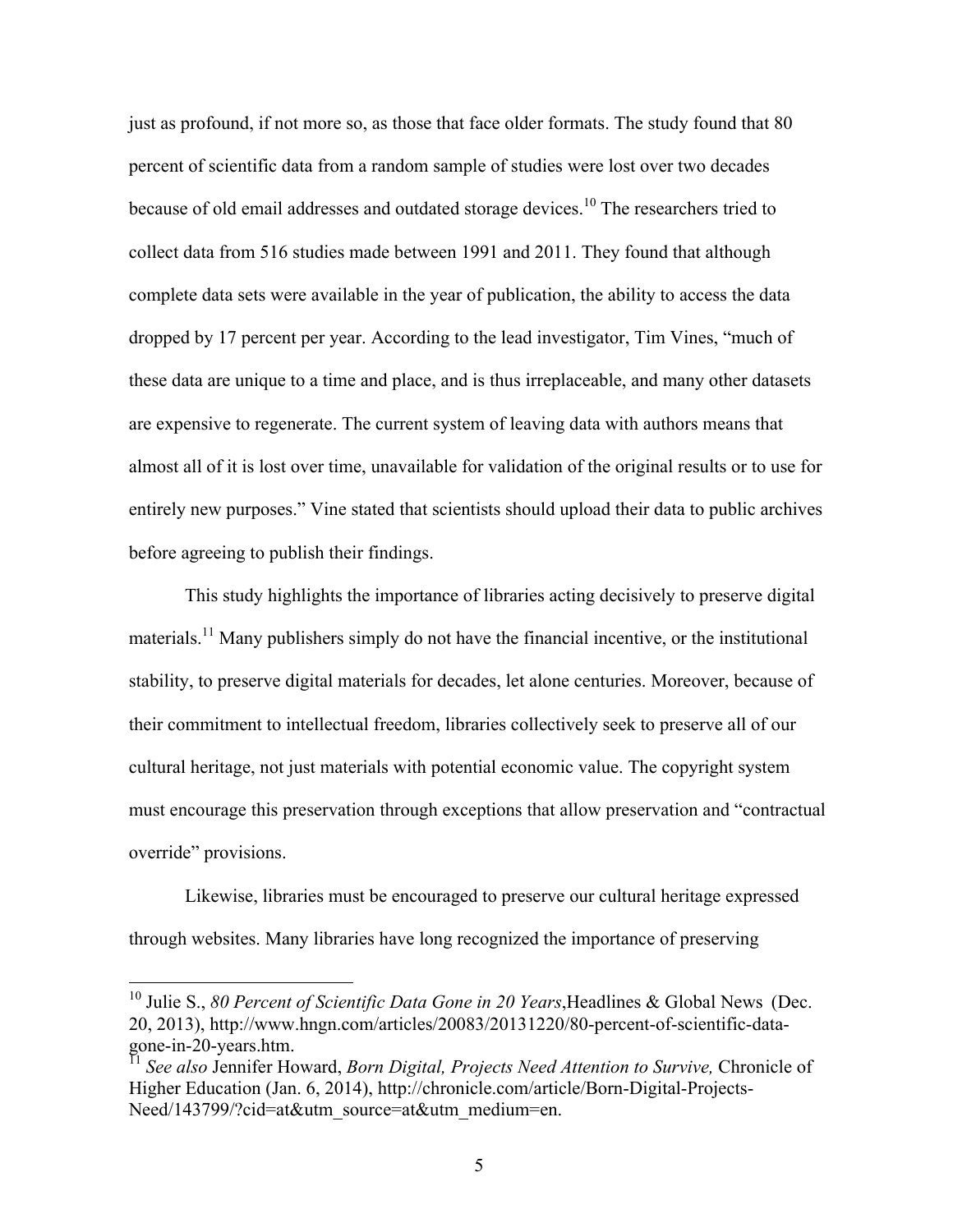just as profound, if not more so, as those that face older formats. The study found that 80 percent of scientific data from a random sample of studies were lost over two decades because of old email addresses and outdated storage devices.<sup>10</sup> The researchers tried to collect data from 516 studies made between 1991 and 2011. They found that although complete data sets were available in the year of publication, the ability to access the data dropped by 17 percent per year. According to the lead investigator, Tim Vines, "much of these data are unique to a time and place, and is thus irreplaceable, and many other datasets are expensive to regenerate. The current system of leaving data with authors means that almost all of it is lost over time, unavailable for validation of the original results or to use for entirely new purposes." Vine stated that scientists should upload their data to public archives before agreeing to publish their findings.

This study highlights the importance of libraries acting decisively to preserve digital materials.<sup>11</sup> Many publishers simply do not have the financial incentive, or the institutional stability, to preserve digital materials for decades, let alone centuries. Moreover, because of their commitment to intellectual freedom, libraries collectively seek to preserve all of our cultural heritage, not just materials with potential economic value. The copyright system must encourage this preservation through exceptions that allow preservation and "contractual override" provisions.

Likewise, libraries must be encouraged to preserve our cultural heritage expressed through websites. Many libraries have long recognized the importance of preserving

<sup>&</sup>lt;sup>10</sup> Julie S., 80 Percent of Scientific Data Gone in 20 Years, Headlines & Global News (Dec. 20, 2013), http://www.hngn.com/articles/20083/20131220/80-percent-of-scientific-data-

See also Jennifer Howard, *Born Digital, Projects Need Attention to Survive*, Chronicle of Higher Education (Jan. 6, 2014), http://chronicle.com/article/Born-Digital-Projects-Need/143799/?cid=at&utm\_source=at&utm\_medium=en.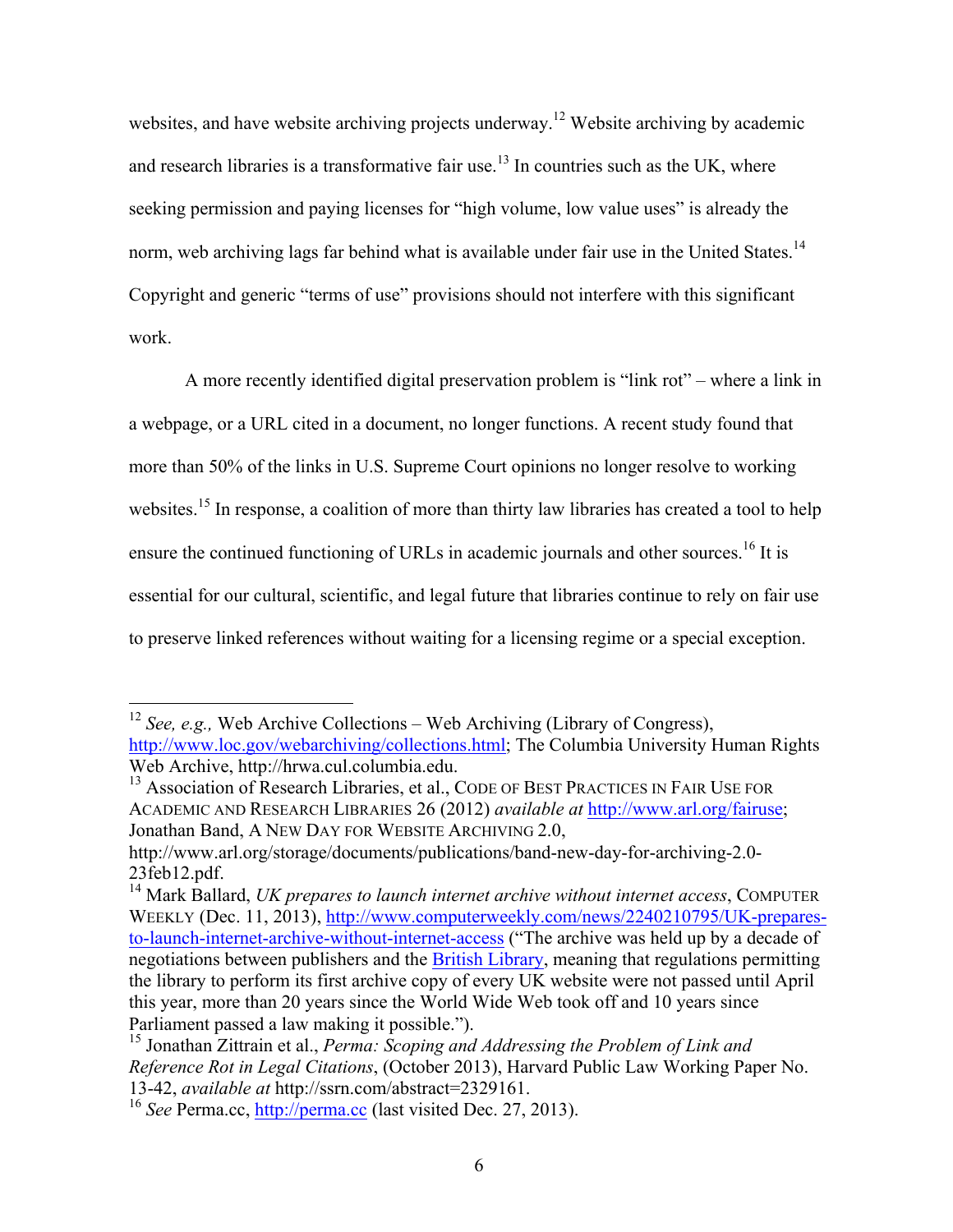websites, and have website archiving projects underway.<sup>12</sup> Website archiving by academic and research libraries is a transformative fair use.<sup>13</sup> In countries such as the UK, where seeking permission and paying licenses for "high volume, low value uses" is already the norm, web archiving lags far behind what is available under fair use in the United States.<sup>14</sup> Copyright and generic "terms of use" provisions should not interfere with this significant work.

A more recently identified digital preservation problem is "link rot" – where a link in a webpage, or a URL cited in a document, no longer functions. A recent study found that more than 50% of the links in U.S. Supreme Court opinions no longer resolve to working websites.<sup>15</sup> In response, a coalition of more than thirty law libraries has created a tool to help ensure the continued functioning of URLs in academic journals and other sources.<sup>16</sup> It is essential for our cultural, scientific, and legal future that libraries continue to rely on fair use to preserve linked references without waiting for a licensing regime or a special exception.

 <sup>12</sup> *See, e.g.,* Web Archive Collections – Web Archiving (Library of Congress), http://www.loc.gov/webarchiving/collections.html; The Columbia University Human Rights Web Archive, http://hrwa.cul.columbia.edu.<br><sup>13</sup> Association of Research Libraries, et al., CODE OF BEST PRACTICES IN FAIR USE FOR

ACADEMIC AND RESEARCH LIBRARIES 26 (2012) *available at* http://www.arl.org/fairuse; Jonathan Band, A NEW DAY FOR WEBSITE ARCHIVING 2.0,

http://www.arl.org/storage/documents/publications/band-new-day-for-archiving-2.0- 23feb12.pdf.<br><sup>14</sup> Mark Ballard, *UK prepares to launch internet archive without internet access*, COMPUTER

WEEKLY (Dec. 11, 2013), http://www.computerweekly.com/news/2240210795/UK-preparesto-launch-internet-archive-without-internet-access ("The archive was held up by a decade of negotiations between publishers and the British Library, meaning that regulations permitting the library to perform its first archive copy of every UK website were not passed until April this year, more than 20 years since the World Wide Web took off and 10 years since Parliament passed a law making it possible.").

<sup>15</sup> Jonathan Zittrain et al., *Perma: Scoping and Addressing the Problem of Link and Reference Rot in Legal Citations*, (October 2013), Harvard Public Law Working Paper No. 13-42, *available at* http://ssrn.com/abstract=2329161. <sup>16</sup> *See* Perma.cc, http://perma.cc (last visited Dec. 27, 2013).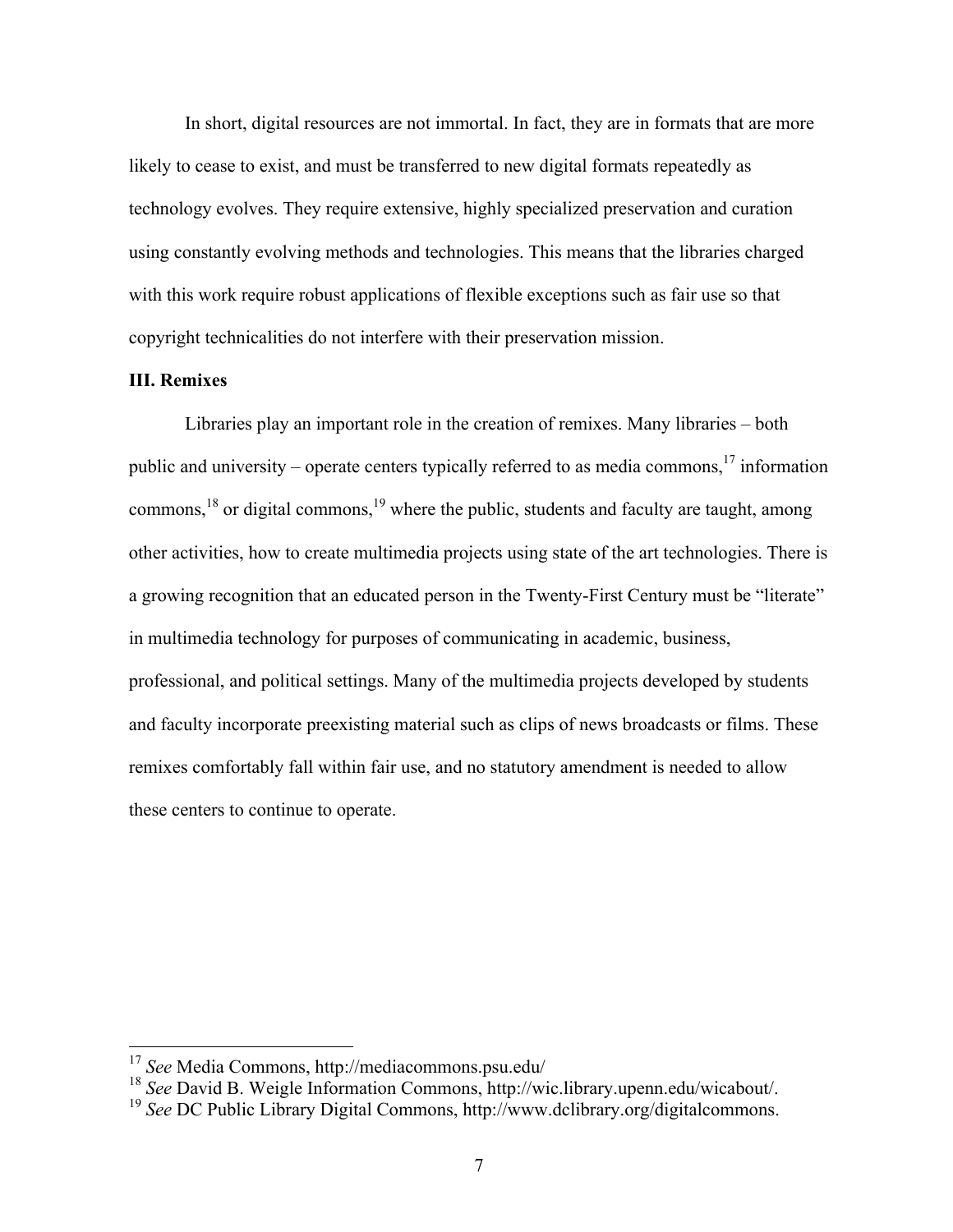In short, digital resources are not immortal. In fact, they are in formats that are more likely to cease to exist, and must be transferred to new digital formats repeatedly as technology evolves. They require extensive, highly specialized preservation and curation using constantly evolving methods and technologies. This means that the libraries charged with this work require robust applications of flexible exceptions such as fair use so that copyright technicalities do not interfere with their preservation mission.

# **III. Remixes**

Libraries play an important role in the creation of remixes. Many libraries – both public and university – operate centers typically referred to as media commons,  $17$  information commons,<sup>18</sup> or digital commons,<sup>19</sup> where the public, students and faculty are taught, among other activities, how to create multimedia projects using state of the art technologies. There is a growing recognition that an educated person in the Twenty-First Century must be "literate" in multimedia technology for purposes of communicating in academic, business, professional, and political settings. Many of the multimedia projects developed by students and faculty incorporate preexisting material such as clips of news broadcasts or films. These remixes comfortably fall within fair use, and no statutory amendment is needed to allow these centers to continue to operate.

 <sup>17</sup> *See* Media Commons, http://mediacommons.psu.edu/

<sup>18</sup> *See* David B. Weigle Information Commons, http://wic.library.upenn.edu/wicabout/. <sup>19</sup> *See* DC Public Library Digital Commons, http://www.dclibrary.org/digitalcommons.